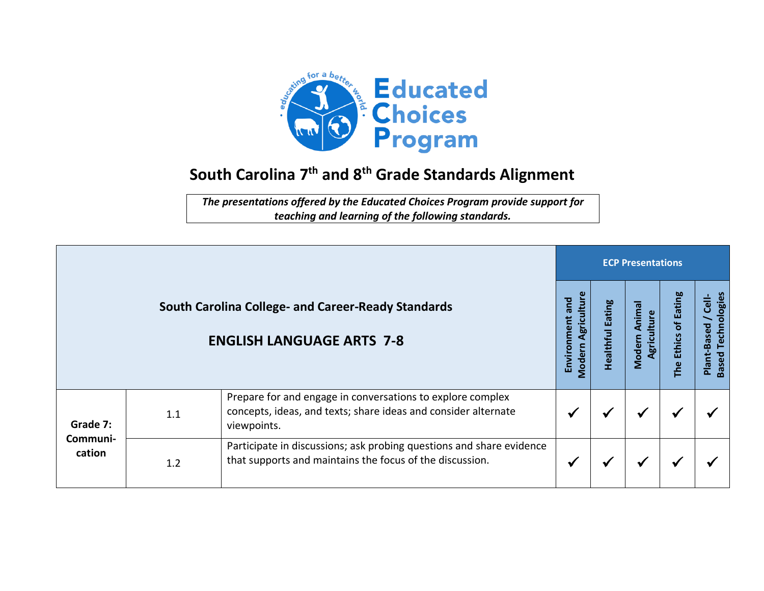

## **South Carolina 7 th and 8 th Grade Standards Alignment**

*The presentations offered by the Educated Choices Program provide support for teaching and learning of the following standards.*

|                                |     |                                                                                                                                             | <b>ECP Presentations</b>                    |                     |                                 |                                          |                                                           |  |  |
|--------------------------------|-----|---------------------------------------------------------------------------------------------------------------------------------------------|---------------------------------------------|---------------------|---------------------------------|------------------------------------------|-----------------------------------------------------------|--|--|
|                                |     | <b>South Carolina College- and Career-Ready Standards</b><br><b>ENGLISH LANGUAGE ARTS 7-8</b>                                               | Agriculture<br>bue<br>Environment<br>Modern | Eating<br>Healthful | Animal<br>Agriculture<br>Modern | of Eating<br><b>Ethics</b><br><b>The</b> | Technologies<br><u>dl-</u><br>Plant-Based<br><b>Based</b> |  |  |
| Grade 7:<br>Communi-<br>cation | 1.1 | Prepare for and engage in conversations to explore complex<br>concepts, ideas, and texts; share ideas and consider alternate<br>viewpoints. |                                             |                     | ✔                               | ₩                                        |                                                           |  |  |
|                                | 1.2 | Participate in discussions; ask probing questions and share evidence<br>that supports and maintains the focus of the discussion.            |                                             |                     | $\checkmark$                    | ₩                                        |                                                           |  |  |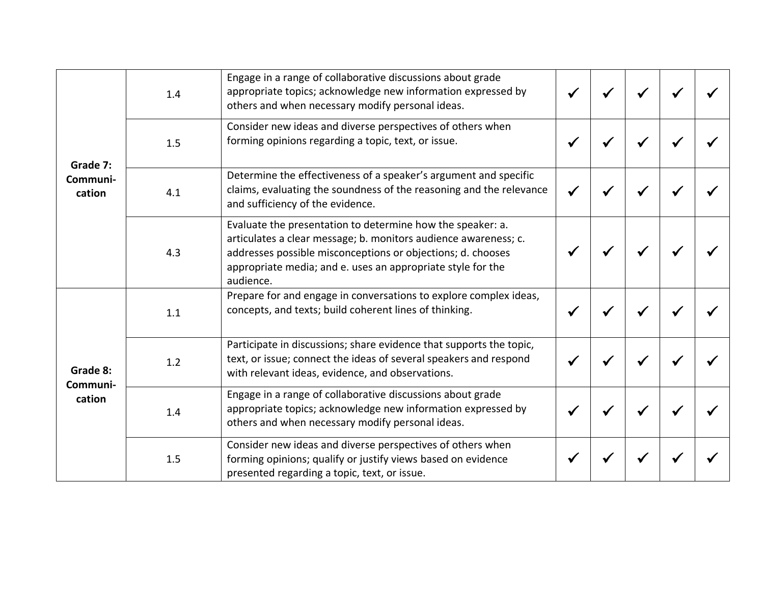| Grade 7:<br>Communi-<br>cation | 1.4 | Engage in a range of collaborative discussions about grade<br>appropriate topics; acknowledge new information expressed by<br>others and when necessary modify personal ideas.                                                                                           |  |  |  |
|--------------------------------|-----|--------------------------------------------------------------------------------------------------------------------------------------------------------------------------------------------------------------------------------------------------------------------------|--|--|--|
|                                | 1.5 | Consider new ideas and diverse perspectives of others when<br>forming opinions regarding a topic, text, or issue.                                                                                                                                                        |  |  |  |
|                                | 4.1 | Determine the effectiveness of a speaker's argument and specific<br>claims, evaluating the soundness of the reasoning and the relevance<br>and sufficiency of the evidence.                                                                                              |  |  |  |
|                                | 4.3 | Evaluate the presentation to determine how the speaker: a.<br>articulates a clear message; b. monitors audience awareness; c.<br>addresses possible misconceptions or objections; d. chooses<br>appropriate media; and e. uses an appropriate style for the<br>audience. |  |  |  |
| Grade 8:<br>Communi-<br>cation | 1.1 | Prepare for and engage in conversations to explore complex ideas,<br>concepts, and texts; build coherent lines of thinking.                                                                                                                                              |  |  |  |
|                                | 1.2 | Participate in discussions; share evidence that supports the topic,<br>text, or issue; connect the ideas of several speakers and respond<br>with relevant ideas, evidence, and observations.                                                                             |  |  |  |
|                                | 1.4 | Engage in a range of collaborative discussions about grade<br>appropriate topics; acknowledge new information expressed by<br>others and when necessary modify personal ideas.                                                                                           |  |  |  |
|                                | 1.5 | Consider new ideas and diverse perspectives of others when<br>forming opinions; qualify or justify views based on evidence<br>presented regarding a topic, text, or issue.                                                                                               |  |  |  |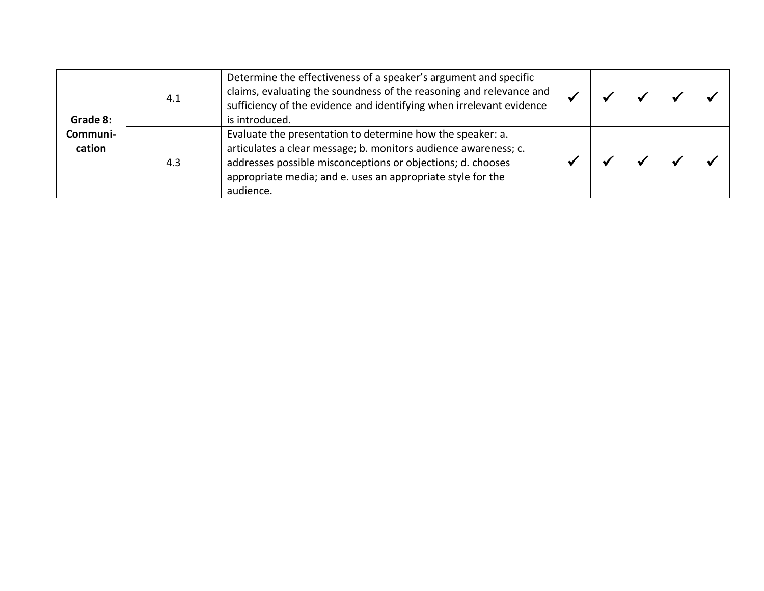| Grade 8:           | 4.1 | Determine the effectiveness of a speaker's argument and specific<br>claims, evaluating the soundness of the reasoning and relevance and<br>sufficiency of the evidence and identifying when irrelevant evidence<br>is introduced.                                        |  |  |  |
|--------------------|-----|--------------------------------------------------------------------------------------------------------------------------------------------------------------------------------------------------------------------------------------------------------------------------|--|--|--|
| Communi-<br>cation | 4.3 | Evaluate the presentation to determine how the speaker: a.<br>articulates a clear message; b. monitors audience awareness; c.<br>addresses possible misconceptions or objections; d. chooses<br>appropriate media; and e. uses an appropriate style for the<br>audience. |  |  |  |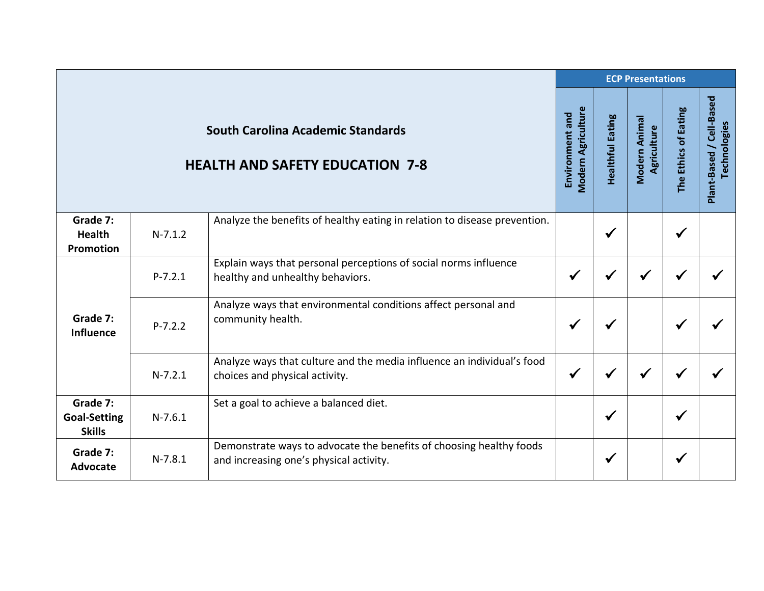|                                                  |             |                                                                                                                | <b>ECP Presentations</b>              |                         |                              |                      |                                          |
|--------------------------------------------------|-------------|----------------------------------------------------------------------------------------------------------------|---------------------------------------|-------------------------|------------------------------|----------------------|------------------------------------------|
|                                                  |             | <b>South Carolina Academic Standards</b><br><b>HEALTH AND SAFETY EDUCATION 7-8</b>                             | Modern Agriculture<br>Environment and | <b>Healthful Eating</b> | Modern Animal<br>Agriculture | The Ethics of Eating | Plant-Based / Cell-Based<br>Technologies |
| Grade 7:<br><b>Health</b><br>Promotion           | $N-7.1.2$   | Analyze the benefits of healthy eating in relation to disease prevention.                                      |                                       | $\checkmark$            |                              | $\checkmark$         |                                          |
| Grade 7:<br><b>Influence</b>                     | $P - 7.2.1$ | Explain ways that personal perceptions of social norms influence<br>healthy and unhealthy behaviors.           | $\checkmark$                          | √                       | √                            |                      |                                          |
|                                                  | $P - 7.2.2$ | Analyze ways that environmental conditions affect personal and<br>community health.                            | $\checkmark$                          | $\checkmark$            |                              | $\checkmark$         |                                          |
|                                                  | $N-7.2.1$   | Analyze ways that culture and the media influence an individual's food<br>choices and physical activity.       | $\checkmark$                          | ✔                       | ✔                            |                      |                                          |
| Grade 7:<br><b>Goal-Setting</b><br><b>Skills</b> | $N-7.6.1$   | Set a goal to achieve a balanced diet.                                                                         |                                       | $\checkmark$            |                              | ✔                    |                                          |
| Grade 7:<br><b>Advocate</b>                      | $N-7.8.1$   | Demonstrate ways to advocate the benefits of choosing healthy foods<br>and increasing one's physical activity. |                                       | $\checkmark$            |                              | ✔                    |                                          |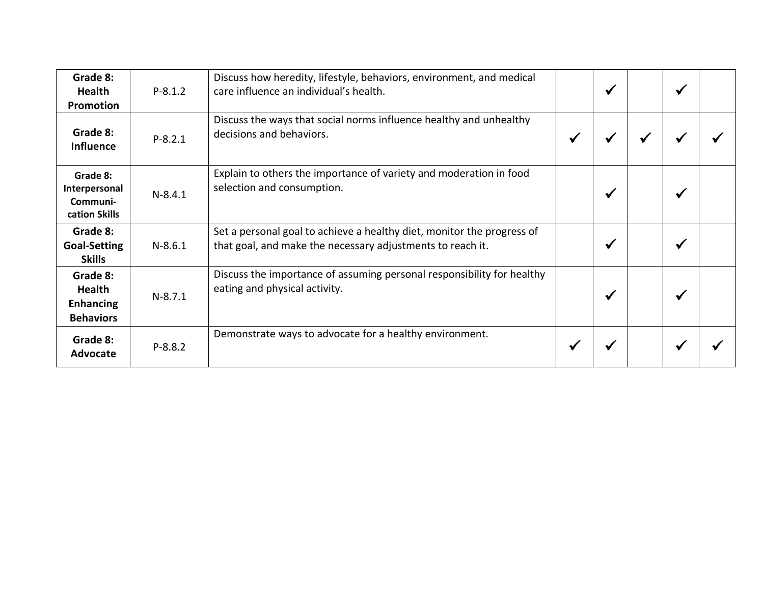| Grade 8:<br><b>Health</b><br><b>Promotion</b>                     | $P - 8.1.2$ | Discuss how heredity, lifestyle, behaviors, environment, and medical<br>care influence an individual's health.                       |              | $\checkmark$            |   | √ |  |
|-------------------------------------------------------------------|-------------|--------------------------------------------------------------------------------------------------------------------------------------|--------------|-------------------------|---|---|--|
| Grade 8:<br><b>Influence</b>                                      | $P-8.2.1$   | Discuss the ways that social norms influence healthy and unhealthy<br>decisions and behaviors.                                       | $\checkmark$ | ₩                       | ✔ |   |  |
| Grade 8:<br>Interpersonal<br>Communi-<br>cation Skills            | $N-8.4.1$   | Explain to others the importance of variety and moderation in food<br>selection and consumption.                                     |              | $\checkmark$            |   | ✔ |  |
| Grade 8:<br><b>Goal-Setting</b><br><b>Skills</b>                  | $N-8.6.1$   | Set a personal goal to achieve a healthy diet, monitor the progress of<br>that goal, and make the necessary adjustments to reach it. |              | √                       |   | ₩ |  |
| Grade 8:<br><b>Health</b><br><b>Enhancing</b><br><b>Behaviors</b> | $N-8.7.1$   | Discuss the importance of assuming personal responsibility for healthy<br>eating and physical activity.                              |              | $\checkmark$            |   | ✔ |  |
| Grade 8:<br>Advocate                                              | $P-8.8.2$   | Demonstrate ways to advocate for a healthy environment.                                                                              | ₩            | $\overline{\mathbf{v}}$ |   |   |  |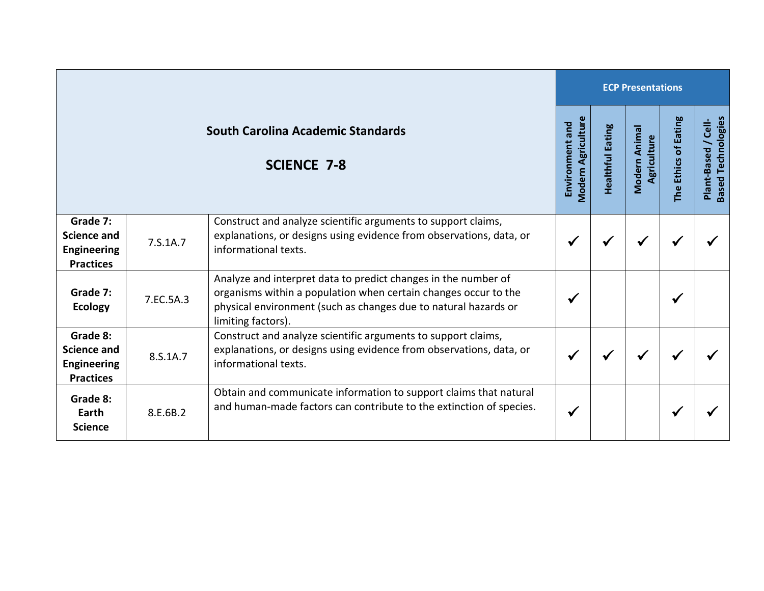|                                                                          |           |                                                                                                                                                                                                                            |              | <b>ECP Presentations</b> |                              |                      |                                                  |  |  |  |  |
|--------------------------------------------------------------------------|-----------|----------------------------------------------------------------------------------------------------------------------------------------------------------------------------------------------------------------------------|--------------|--------------------------|------------------------------|----------------------|--------------------------------------------------|--|--|--|--|
| <b>South Carolina Academic Standards</b><br><b>SCIENCE 7-8</b>           |           |                                                                                                                                                                                                                            |              | <b>Healthful Eating</b>  | Modern Animal<br>Agriculture | The Ethics of Eating | <b>Based Technologies</b><br>Plant-Based / Cell- |  |  |  |  |
| Grade 7:<br><b>Science and</b><br><b>Engineering</b><br><b>Practices</b> | 7.S.1A.7  | Construct and analyze scientific arguments to support claims,<br>explanations, or designs using evidence from observations, data, or<br>informational texts.                                                               | $\checkmark$ |                          | ✔                            |                      |                                                  |  |  |  |  |
| Grade 7:<br><b>Ecology</b>                                               | 7.EC.5A.3 | Analyze and interpret data to predict changes in the number of<br>organisms within a population when certain changes occur to the<br>physical environment (such as changes due to natural hazards or<br>limiting factors). | ✔            |                          |                              | √                    |                                                  |  |  |  |  |
| Grade 8:<br><b>Science and</b><br><b>Engineering</b><br><b>Practices</b> | 8.S.1A.7  | Construct and analyze scientific arguments to support claims,<br>explanations, or designs using evidence from observations, data, or<br>informational texts.                                                               | $\checkmark$ | ✔                        | ✔                            |                      |                                                  |  |  |  |  |
| Grade 8:<br>Earth<br><b>Science</b>                                      | 8.E.6B.2  | Obtain and communicate information to support claims that natural<br>and human-made factors can contribute to the extinction of species.                                                                                   | $\checkmark$ |                          |                              |                      |                                                  |  |  |  |  |